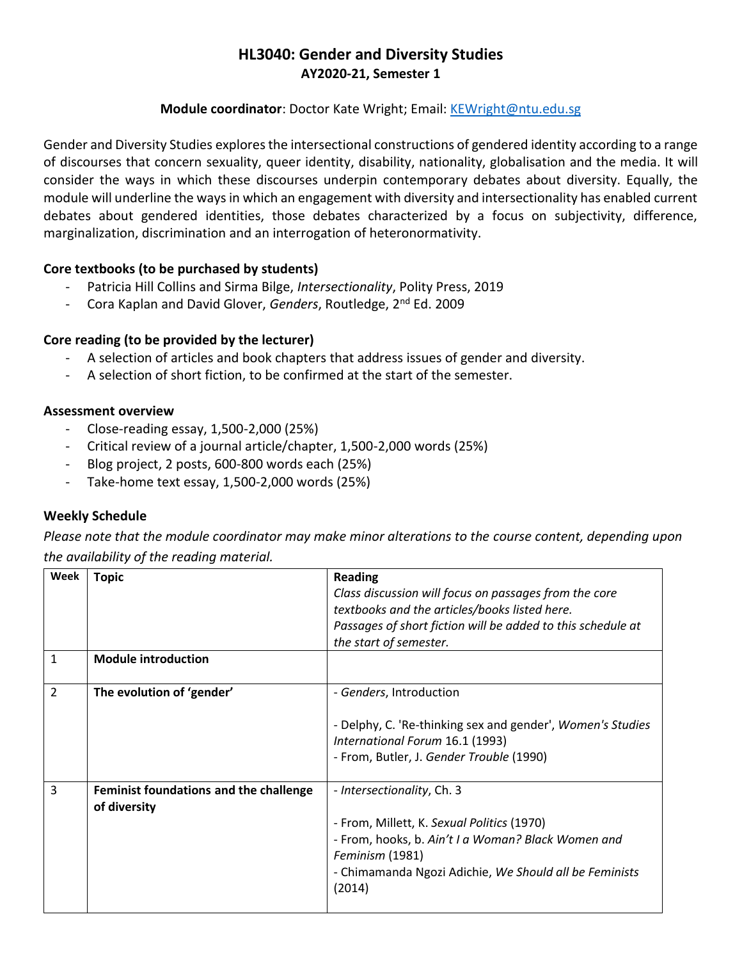# **HL3040: Gender and Diversity Studies AY2020-21, Semester 1**

## **Module coordinator**: Doctor Kate Wright; Email: [KEWright@ntu.edu.sg](mailto:KEWright@ntu.edu.sg)

Gender and Diversity Studies explores the intersectional constructions of gendered identity according to a range of discourses that concern sexuality, queer identity, disability, nationality, globalisation and the media. It will consider the ways in which these discourses underpin contemporary debates about diversity. Equally, the module will underline the ways in which an engagement with diversity and intersectionality has enabled current debates about gendered identities, those debates characterized by a focus on subjectivity, difference, marginalization, discrimination and an interrogation of heteronormativity.

# **Core textbooks (to be purchased by students)**

- Patricia Hill Collins and Sirma Bilge, *Intersectionality*, Polity Press, 2019
- Cora Kaplan and David Glover, *Genders*, Routledge, 2nd Ed. 2009

# **Core reading (to be provided by the lecturer)**

- A selection of articles and book chapters that address issues of gender and diversity.
- A selection of short fiction, to be confirmed at the start of the semester.

## **Assessment overview**

- Close-reading essay, 1,500-2,000 (25%)
- Critical review of a journal article/chapter, 1,500-2,000 words (25%)
- Blog project, 2 posts, 600-800 words each (25%)
- Take-home text essay, 1,500-2,000 words (25%)

## **Weekly Schedule**

*Please note that the module coordinator may make minor alterations to the course content, depending upon the availability of the reading material.* 

| Week           | <b>Topic</b>                           | <b>Reading</b><br>Class discussion will focus on passages from the core                       |
|----------------|----------------------------------------|-----------------------------------------------------------------------------------------------|
|                |                                        | textbooks and the articles/books listed here.                                                 |
|                |                                        | Passages of short fiction will be added to this schedule at                                   |
|                |                                        | the start of semester.                                                                        |
| 1              | <b>Module introduction</b>             |                                                                                               |
| $\overline{2}$ | The evolution of 'gender'              | - Genders, Introduction                                                                       |
|                |                                        | - Delphy, C. 'Re-thinking sex and gender', Women's Studies<br>International Forum 16.1 (1993) |
|                |                                        | - From, Butler, J. Gender Trouble (1990)                                                      |
| 3              | Feminist foundations and the challenge | - Intersectionality, Ch. 3                                                                    |
|                | of diversity                           |                                                                                               |
|                |                                        | - From, Millett, K. Sexual Politics (1970)                                                    |
|                |                                        | - From, hooks, b. Ain't I a Woman? Black Women and                                            |
|                |                                        | Feminism (1981)                                                                               |
|                |                                        | - Chimamanda Ngozi Adichie, We Should all be Feminists<br>(2014)                              |
|                |                                        |                                                                                               |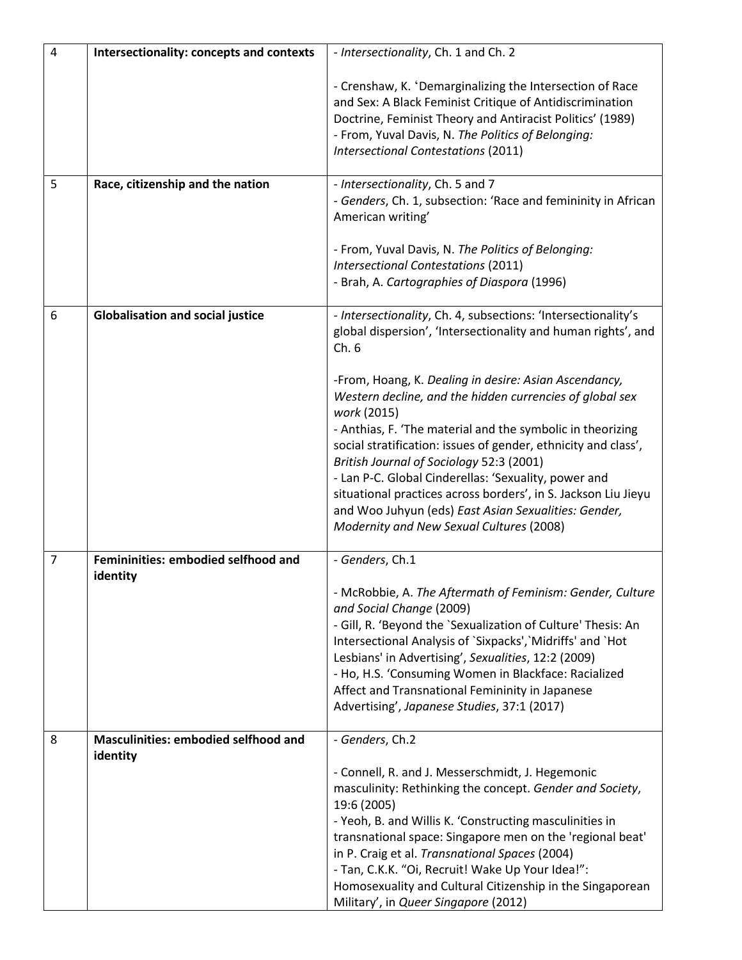| $\overline{4}$ | Intersectionality: concepts and contexts                | - Intersectionality, Ch. 1 and Ch. 2                                                                                                                                                                                                                                                                                                                                                                                                                                                                                                       |
|----------------|---------------------------------------------------------|--------------------------------------------------------------------------------------------------------------------------------------------------------------------------------------------------------------------------------------------------------------------------------------------------------------------------------------------------------------------------------------------------------------------------------------------------------------------------------------------------------------------------------------------|
|                |                                                         | - Crenshaw, K. 'Demarginalizing the Intersection of Race<br>and Sex: A Black Feminist Critique of Antidiscrimination<br>Doctrine, Feminist Theory and Antiracist Politics' (1989)<br>- From, Yuval Davis, N. The Politics of Belonging:<br><b>Intersectional Contestations (2011)</b>                                                                                                                                                                                                                                                      |
| 5              | Race, citizenship and the nation                        | - Intersectionality, Ch. 5 and 7<br>- Genders, Ch. 1, subsection: 'Race and femininity in African<br>American writing'                                                                                                                                                                                                                                                                                                                                                                                                                     |
|                |                                                         | - From, Yuval Davis, N. The Politics of Belonging:<br><b>Intersectional Contestations (2011)</b><br>- Brah, A. Cartographies of Diaspora (1996)                                                                                                                                                                                                                                                                                                                                                                                            |
| 6              | <b>Globalisation and social justice</b>                 | - Intersectionality, Ch. 4, subsections: 'Intersectionality's<br>global dispersion', 'Intersectionality and human rights', and<br>Ch.6                                                                                                                                                                                                                                                                                                                                                                                                     |
|                |                                                         | -From, Hoang, K. Dealing in desire: Asian Ascendancy,<br>Western decline, and the hidden currencies of global sex<br>work (2015)<br>- Anthias, F. 'The material and the symbolic in theorizing<br>social stratification: issues of gender, ethnicity and class',<br>British Journal of Sociology 52:3 (2001)<br>- Lan P-C. Global Cinderellas: 'Sexuality, power and<br>situational practices across borders', in S. Jackson Liu Jieyu<br>and Woo Juhyun (eds) East Asian Sexualities: Gender,<br>Modernity and New Sexual Cultures (2008) |
| $\overline{7}$ | Femininities: embodied selfhood and<br>identity         | - Genders, Ch.1                                                                                                                                                                                                                                                                                                                                                                                                                                                                                                                            |
|                |                                                         | - McRobbie, A. The Aftermath of Feminism: Gender, Culture<br>and Social Change (2009)<br>- Gill, R. 'Beyond the `Sexualization of Culture' Thesis: An<br>Intersectional Analysis of `Sixpacks',`Midriffs' and `Hot<br>Lesbians' in Advertising', Sexualities, 12:2 (2009)<br>- Ho, H.S. 'Consuming Women in Blackface: Racialized<br>Affect and Transnational Femininity in Japanese<br>Advertising', Japanese Studies, 37:1 (2017)                                                                                                        |
| 8              | <b>Masculinities: embodied selfhood and</b><br>identity | - Genders, Ch.2<br>- Connell, R. and J. Messerschmidt, J. Hegemonic<br>masculinity: Rethinking the concept. Gender and Society,<br>19:6 (2005)<br>- Yeoh, B. and Willis K. 'Constructing masculinities in<br>transnational space: Singapore men on the 'regional beat'<br>in P. Craig et al. Transnational Spaces (2004)<br>- Tan, C.K.K. "Oi, Recruit! Wake Up Your Idea!":<br>Homosexuality and Cultural Citizenship in the Singaporean<br>Military', in Queer Singapore (2012)                                                          |